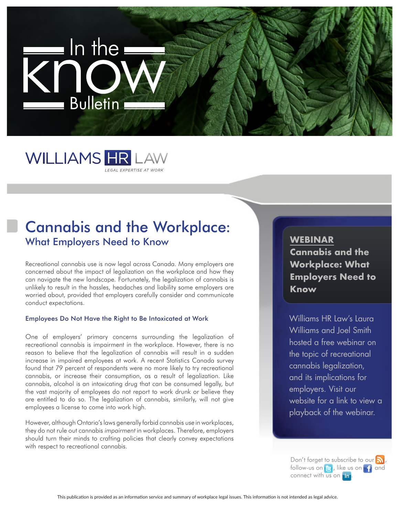



## Cannabis and the Workplace: What Employers Need to Know

Recreational cannabis use is now legal across Canada. Many employers are concerned about the impact of legalization on the workplace and how they can navigate the new landscape. Fortunately, the legalization of cannabis is unlikely to result in the hassles, headaches and liability some employers are worried about, provided that employers carefully consider and communicate conduct expectations.

#### Employees Do Not Have the Right to Be Intoxicated at Work

One of employers' primary concerns surrounding the legalization of recreational cannabis is impairment in the workplace. However, there is no reason to believe that the legalization of cannabis will result in a sudden increase in impaired employees at work. A recent Statistics Canada survey found that 79 percent of respondents were no more likely to try recreational cannabis, or increase their consumption, as a result of legalization. Like cannabis, alcohol is an intoxicating drug that can be consumed legally, but the vast majority of employees do not report to work drunk or believe they are entitled to do so. The legalization of cannabis, similarly, will not give employees a license to come into work high.

However, although Ontario's laws generally forbid cannabis use in workplaces, they do not rule out cannabis impairment in workplaces. Therefore, employers should turn their minds to crafting policies that clearly convey expectations with respect to recreational cannabis.

# **WEBINAR**

**Cannabis and the Workplace: What Employers Need to Know**

Williams HR Law's Laura Williams and Joel Smith hosted a free webinar on the topic of recreational cannabis legalization, and its implications for employers. Visit our website for a link to view a playback of the webinar.

Don't forget to subscribe to our  $\mathbf{a}$ , follow-us on  $\bigcirc$ , like us on  $\bigcirc$  and connect with us on **in**